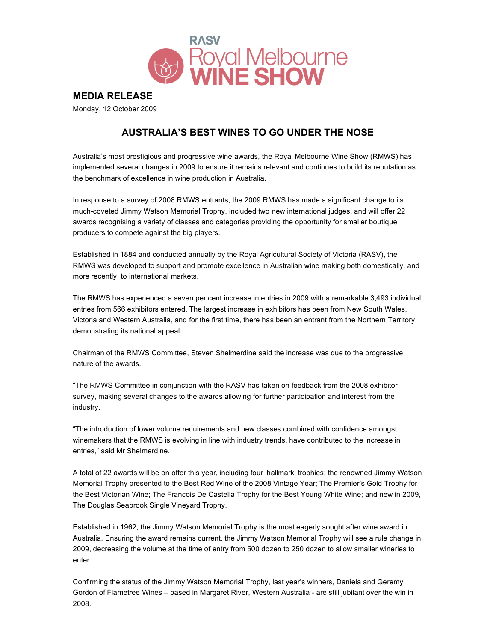

**MEDIA RELEASE**

Monday, 12 October 2009

# **AUSTRALIA'S BEST WINES TO GO UNDER THE NOSE**

Australia's most prestigious and progressive wine awards, the Royal Melbourne Wine Show (RMWS) has implemented several changes in 2009 to ensure it remains relevant and continues to build its reputation as the benchmark of excellence in wine production in Australia.

In response to a survey of 2008 RMWS entrants, the 2009 RMWS has made a significant change to its much-coveted Jimmy Watson Memorial Trophy, included two new international judges, and will offer 22 awards recognising a variety of classes and categories providing the opportunity for smaller boutique producers to compete against the big players.

Established in 1884 and conducted annually by the Royal Agricultural Society of Victoria (RASV), the RMWS was developed to support and promote excellence in Australian wine making both domestically, and more recently, to international markets.

The RMWS has experienced a seven per cent increase in entries in 2009 with a remarkable 3,493 individual entries from 566 exhibitors entered. The largest increase in exhibitors has been from New South Wales, Victoria and Western Australia, and for the first time, there has been an entrant from the Northern Territory, demonstrating its national appeal.

Chairman of the RMWS Committee, Steven Shelmerdine said the increase was due to the progressive nature of the awards.

"The RMWS Committee in conjunction with the RASV has taken on feedback from the 2008 exhibitor survey, making several changes to the awards allowing for further participation and interest from the industry.

"The introduction of lower volume requirements and new classes combined with confidence amongst winemakers that the RMWS is evolving in line with industry trends, have contributed to the increase in entries," said Mr Shelmerdine.

A total of 22 awards will be on offer this year, including four 'hallmark' trophies: the renowned Jimmy Watson Memorial Trophy presented to the Best Red Wine of the 2008 Vintage Year; The Premier's Gold Trophy for the Best Victorian Wine; The Francois De Castella Trophy for the Best Young White Wine; and new in 2009, The Douglas Seabrook Single Vineyard Trophy.

Established in 1962, the Jimmy Watson Memorial Trophy is the most eagerly sought after wine award in Australia. Ensuring the award remains current, the Jimmy Watson Memorial Trophy will see a rule change in 2009, decreasing the volume at the time of entry from 500 dozen to 250 dozen to allow smaller wineries to enter.

Confirming the status of the Jimmy Watson Memorial Trophy, last year's winners, Daniela and Geremy Gordon of Flametree Wines – based in Margaret River, Western Australia - are still jubilant over the win in 2008.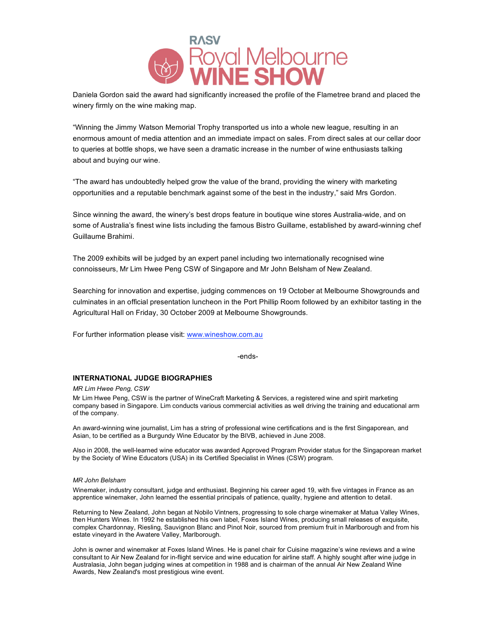

Daniela Gordon said the award had significantly increased the profile of the Flametree brand and placed the winery firmly on the wine making map.

"Winning the Jimmy Watson Memorial Trophy transported us into a whole new league, resulting in an enormous amount of media attention and an immediate impact on sales. From direct sales at our cellar door to queries at bottle shops, we have seen a dramatic increase in the number of wine enthusiasts talking about and buying our wine.

"The award has undoubtedly helped grow the value of the brand, providing the winery with marketing opportunities and a reputable benchmark against some of the best in the industry," said Mrs Gordon.

Since winning the award, the winery's best drops feature in boutique wine stores Australia-wide, and on some of Australia's finest wine lists including the famous Bistro Guillame, established by award-winning chef Guillaume Brahimi.

The 2009 exhibits will be judged by an expert panel including two internationally recognised wine connoisseurs, Mr Lim Hwee Peng CSW of Singapore and Mr John Belsham of New Zealand.

Searching for innovation and expertise, judging commences on 19 October at Melbourne Showgrounds and culminates in an official presentation luncheon in the Port Phillip Room followed by an exhibitor tasting in the Agricultural Hall on Friday, 30 October 2009 at Melbourne Showgrounds.

For further information please visit: www.wineshow.com.au

-ends-

### **INTERNATIONAL JUDGE BIOGRAPHIES**

*MR Lim Hwee Peng, CSW*

Mr Lim Hwee Peng, CSW is the partner of WineCraft Marketing & Services, a registered wine and spirit marketing company based in Singapore. Lim conducts various commercial activities as well driving the training and educational arm of the company.

An award-winning wine journalist, Lim has a string of professional wine certifications and is the first Singaporean, and Asian, to be certified as a Burgundy Wine Educator by the BIVB, achieved in June 2008.

Also in 2008, the well-learned wine educator was awarded Approved Program Provider status for the Singaporean market by the Society of Wine Educators (USA) in its Certified Specialist in Wines (CSW) program.

#### *MR John Belsham*

Winemaker, industry consultant, judge and enthusiast. Beginning his career aged 19, with five vintages in France as an apprentice winemaker, John learned the essential principals of patience, quality, hygiene and attention to detail.

Returning to New Zealand, John began at Nobilo Vintners, progressing to sole charge winemaker at Matua Valley Wines, then Hunters Wines. In 1992 he established his own label, Foxes Island Wines, producing small releases of exquisite, complex Chardonnay, Riesling, Sauvignon Blanc and Pinot Noir, sourced from premium fruit in Marlborough and from his estate vineyard in the Awatere Valley, Marlborough.

John is owner and winemaker at Foxes Island Wines. He is panel chair for Cuisine magazine's wine reviews and a wine consultant to Air New Zealand for in-flight service and wine education for airline staff. A highly sought after wine judge in Australasia, John began judging wines at competition in 1988 and is chairman of the annual Air New Zealand Wine Awards, New Zealand's most prestigious wine event.